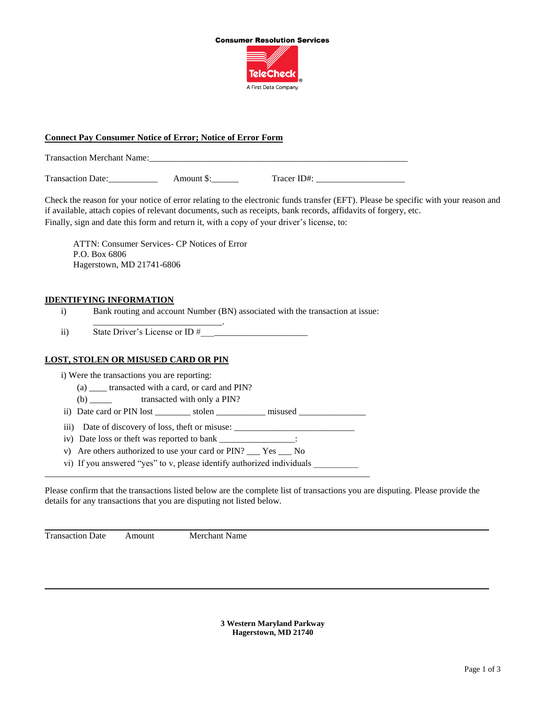

## **Connect Pay Consumer Notice of Error; Notice of Error Form**

Transaction Merchant Name:

Transaction Date: Amount \$: Tracer ID#:

Check the reason for your notice of error relating to the electronic funds transfer (EFT). Please be specific with your reason and if available, attach copies of relevant documents, such as receipts, bank records, affidavits of forgery, etc. Finally, sign and date this form and return it, with a copy of your driver's license, to:

ATTN: Consumer Services- CP Notices of Error P.O. Box 6806 Hagerstown, MD 21741-6806

\_\_\_\_\_\_\_\_\_\_\_\_\_\_\_\_\_\_\_\_\_\_\_\_\_\_\_\_\_.

### **IDENTIFYING INFORMATION**

i) Bank routing and account Number (BN) associated with the transaction at issue:

ii) State Driver's License or ID #\_\_\_\_\_\_\_\_\_\_\_\_\_\_\_\_\_\_\_\_\_\_\_\_

#### **LOST, STOLEN OR MISUSED CARD OR PIN**

i) Were the transactions you are reporting:

- (a) \_\_\_\_ transacted with a card, or card and PIN?
- (b) transacted with only a PIN?
- ii) Date card or PIN lost stolen misused
- iii) Date of discovery of loss, theft or misuse: \_\_\_\_\_\_\_\_\_\_\_\_\_\_\_\_\_\_\_\_\_\_\_\_\_\_\_

\_\_\_\_\_\_\_\_\_\_\_\_\_\_\_\_\_\_\_\_\_\_\_\_\_\_\_\_\_\_\_\_\_\_\_\_\_\_\_\_\_\_\_\_\_\_\_\_\_\_\_\_\_\_\_\_\_\_\_\_\_\_\_\_\_\_\_\_\_\_\_\_\_

- iv) Date loss or theft was reported to bank \_\_\_\_\_\_\_\_\_\_\_\_\_\_\_\_\_\_:
- v) Are others authorized to use your card or PIN? \_\_\_ Yes \_\_\_ No
- vi) If you answered "yes" to v, please identify authorized individuals \_\_\_\_\_\_\_\_\_\_

Please confirm that the transactions listed below are the complete list of transactions you are disputing. Please provide the details for any transactions that you are disputing not listed below.

Transaction Date Amount Merchant Name

**3 Western Maryland Parkway Hagerstown, MD 21740**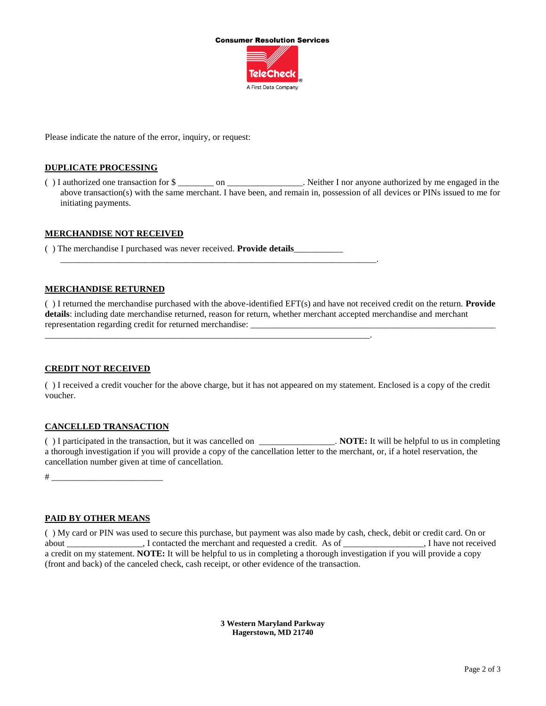

Please indicate the nature of the error, inquiry, or request:

#### **DUPLICATE PROCESSING**

( ) I authorized one transaction for \$ can be the Neither I nor anyone authorized by me engaged in the above transaction(s) with the same merchant. I have been, and remain in, possession of all devices or PINs issued to me for initiating payments.

## **MERCHANDISE NOT RECEIVED**

( ) The merchandise I purchased was never received. **Provide details**\_\_\_\_\_\_\_\_\_\_\_

\_\_\_\_\_\_\_\_\_\_\_\_\_\_\_\_\_\_\_\_\_\_\_\_\_\_\_\_\_\_\_\_\_\_\_\_\_\_\_\_\_\_\_\_\_\_\_\_\_\_\_\_\_\_\_\_\_\_\_\_\_\_\_\_\_\_\_\_\_\_\_.

\_\_\_\_\_\_\_\_\_\_\_\_\_\_\_\_\_\_\_\_\_\_\_\_\_\_\_\_\_\_\_\_\_\_\_\_\_\_\_\_\_\_\_\_\_\_\_\_\_\_\_\_\_\_\_\_\_\_\_\_\_\_\_\_\_\_\_\_\_\_\_\_\_.

#### **MERCHANDISE RETURNED**

( ) I returned the merchandise purchased with the above-identified EFT(s) and have not received credit on the return. **Provide details**: including date merchandise returned, reason for return, whether merchant accepted merchandise and merchant representation regarding credit for returned merchandise:

#### **CREDIT NOT RECEIVED**

( ) I received a credit voucher for the above charge, but it has not appeared on my statement. Enclosed is a copy of the credit voucher.

#### **CANCELLED TRANSACTION**

( ) I participated in the transaction, but it was cancelled on \_\_\_\_\_\_\_\_\_\_\_\_\_\_\_\_\_. **NOTE:** It will be helpful to us in completing a thorough investigation if you will provide a copy of the cancellation letter to the merchant, or, if a hotel reservation, the cancellation number given at time of cancellation.

# \_\_\_\_\_\_\_\_\_\_\_\_\_\_\_\_\_\_\_\_\_\_\_\_\_

# **PAID BY OTHER MEANS**

( ) My card or PIN was used to secure this purchase, but payment was also made by cash, check, debit or credit card. On or about \_\_\_\_\_\_\_\_\_\_\_\_\_, I contacted the merchant and requested a credit. As of \_\_\_\_\_\_\_\_\_\_\_\_\_, I have not received a credit on my statement. **NOTE:** It will be helpful to us in completing a thorough investigation if you will provide a copy (front and back) of the canceled check, cash receipt, or other evidence of the transaction.

> **3 Western Maryland Parkway Hagerstown, MD 21740**